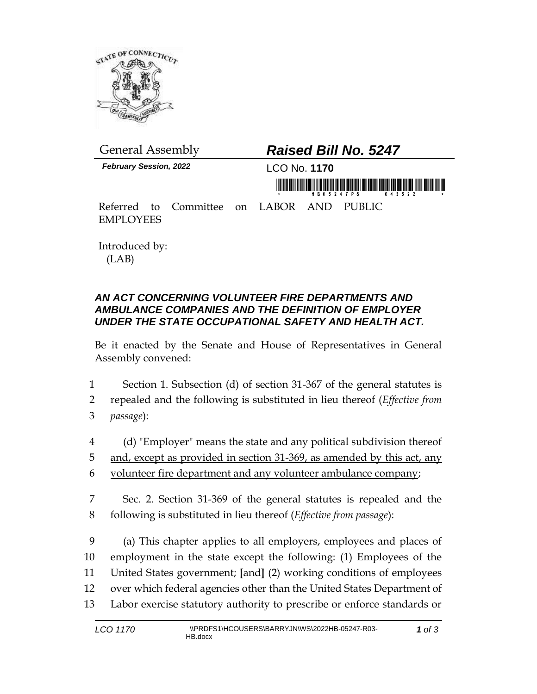

*February Session, 2022* LCO No. **1170**

## General Assembly *Raised Bill No. 5247*

Referred to Committee on LABOR AND PUBLIC EMPLOYEES

Introduced by: (LAB)

## *AN ACT CONCERNING VOLUNTEER FIRE DEPARTMENTS AND AMBULANCE COMPANIES AND THE DEFINITION OF EMPLOYER UNDER THE STATE OCCUPATIONAL SAFETY AND HEALTH ACT.*

Be it enacted by the Senate and House of Representatives in General Assembly convened:

- 1 Section 1. Subsection (d) of section 31-367 of the general statutes is
- 2 repealed and the following is substituted in lieu thereof (*Effective from*  3 *passage*):
- 4 (d) "Employer" means the state and any political subdivision thereof 5 and, except as provided in section 31-369, as amended by this act, any 6 volunteer fire department and any volunteer ambulance company;
- 7 Sec. 2. Section 31-369 of the general statutes is repealed and the 8 following is substituted in lieu thereof (*Effective from passage*):

 (a) This chapter applies to all employers, employees and places of employment in the state except the following: (1) Employees of the United States government; **[**and**]** (2) working conditions of employees over which federal agencies other than the United States Department of Labor exercise statutory authority to prescribe or enforce standards or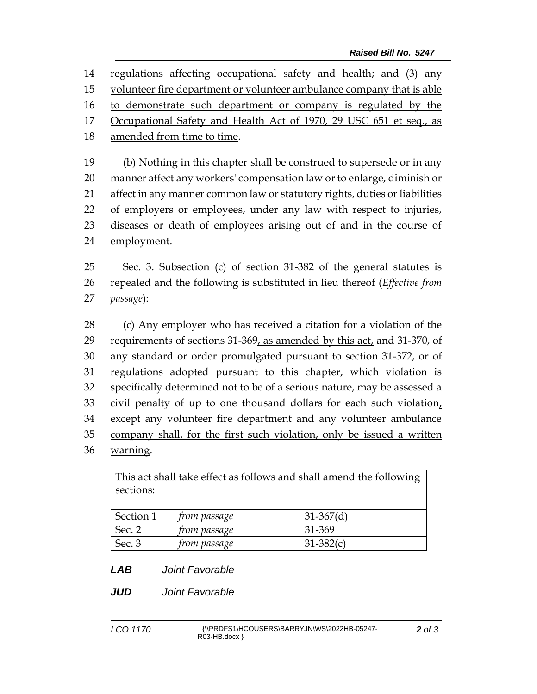regulations affecting occupational safety and health; and (3) any volunteer fire department or volunteer ambulance company that is able 16 to demonstrate such department or company is regulated by the Occupational Safety and Health Act of 1970, 29 USC 651 et seq., as amended from time to time. (b) Nothing in this chapter shall be construed to supersede or in any manner affect any workers' compensation law or to enlarge, diminish or affect in any manner common law or statutory rights, duties or liabilities

 of employers or employees, under any law with respect to injuries, diseases or death of employees arising out of and in the course of employment.

 Sec. 3. Subsection (c) of section 31-382 of the general statutes is repealed and the following is substituted in lieu thereof (*Effective from passage*):

 (c) Any employer who has received a citation for a violation of the 29 requirements of sections 31-369, as amended by this act, and 31-370, of any standard or order promulgated pursuant to section 31-372, or of regulations adopted pursuant to this chapter, which violation is specifically determined not to be of a serious nature, may be assessed a civil penalty of up to one thousand dollars for each such violation, except any volunteer fire department and any volunteer ambulance company shall, for the first such violation, only be issued a written warning.

This act shall take effect as follows and shall amend the following sections:

| Section 1 | from passage        | $31-367(d)$   |  |
|-----------|---------------------|---------------|--|
| Sec.      | <i>from passage</i> | 31-369        |  |
| Sec. 3    | <i>from passage</i> | $31 - 382(c)$ |  |

- *LAB Joint Favorable*
- *JUD Joint Favorable*